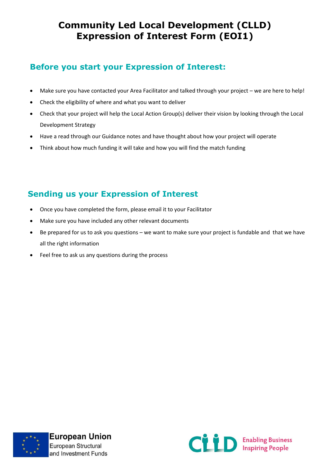## **Community Led Local Development (CLLD) Expression of Interest Form (EOI1)**

### **Before you start your Expression of Interest:**

- Make sure you have contacted your Area Facilitator and talked through your project we are here to help!
- Check the eligibility of where and what you want to deliver
- Check that your project will help the Local Action Group(s) deliver their vision by looking through the Local Development Strategy
- Have a read through our Guidance notes and have thought about how your project will operate
- Think about how much funding it will take and how you will find the match funding

## **Sending us your Expression of Interest**

- Once you have completed the form, please email it to your Facilitator
- Make sure you have included any other relevant documents
- Be prepared for us to ask you questions we want to make sure your project is fundable and that we have all the right information
- Feel free to ask us any questions during the process



**European Union** European Structural and Investment Funds

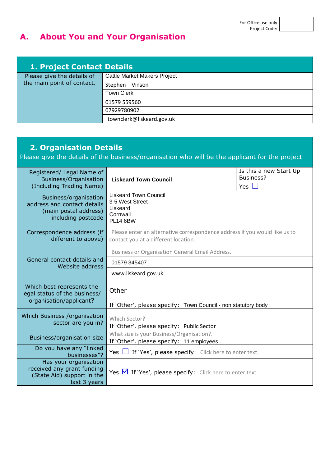# **A. About You and Your Organisation**

| 1. Project Contact Details                               |                                     |  |
|----------------------------------------------------------|-------------------------------------|--|
| Please give the details of<br>the main point of contact. | <b>Cattle Market Makers Project</b> |  |
|                                                          | Stephen<br>Vinson                   |  |
|                                                          | <b>Town Clerk</b>                   |  |
|                                                          | 01579 559560                        |  |
|                                                          | 07929780902                         |  |
|                                                          | townclerk@liskeard.gov.uk           |  |

| <b>2. Organisation Details</b><br>Please give the details of the business/organisation who will be the applicant for the project |                                                                                                                             |  |  |  |  |
|----------------------------------------------------------------------------------------------------------------------------------|-----------------------------------------------------------------------------------------------------------------------------|--|--|--|--|
| Registered/ Legal Name of<br>Business/Organisation<br>(Including Trading Name)                                                   | Is this a new Start Up<br>Business?<br><b>Liskeard Town Council</b><br>Yes $\square$                                        |  |  |  |  |
| Business/organisation<br>address and contact details<br>(main postal address)<br>including postcode                              | <b>Liskeard Town Council</b><br>3-5 West Street<br>Liskeard<br>Cornwall<br><b>PL14 6BW</b>                                  |  |  |  |  |
| Correspondence address (if<br>different to above)                                                                                | Please enter an alternative correspondence address if you would like us to<br>contact you at a different location.          |  |  |  |  |
|                                                                                                                                  | <b>Business or Organisation General Email Address.</b>                                                                      |  |  |  |  |
| General contact details and<br>Website address                                                                                   | 01579 345407                                                                                                                |  |  |  |  |
|                                                                                                                                  | www.liskeard.gov.uk                                                                                                         |  |  |  |  |
| Which best represents the<br>legal status of the business/<br>organisation/applicant?                                            | Other                                                                                                                       |  |  |  |  |
| Which Business /organisation<br>sector are you in?                                                                               | If 'Other', please specify: Town Council - non statutory body<br>Which Sector?<br>If 'Other', please specify: Public Sector |  |  |  |  |
| Business/organisation size                                                                                                       | What size is your Business/Organisation?.<br>If 'Other', please specify: 11 employees                                       |  |  |  |  |
| Do you have any "linked<br>businesses"?                                                                                          | Yes $\Box$ If 'Yes', please specify: Click here to enter text.                                                              |  |  |  |  |
| Has your organisation<br>received any grant funding<br>(State Aid) support in the<br>last 3 years                                | Yes $\blacksquare$ If 'Yes', please specify: Click here to enter text.                                                      |  |  |  |  |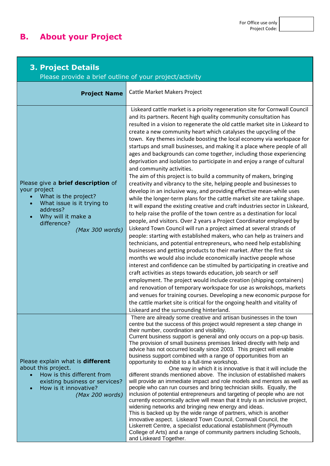# **B. About your Project**

| <b>3. Project Details</b><br>Please provide a brief outline of your project/activity                                                                                                |                                                                                                                                                                                                                                                                                                                                                                                                                                                                                                                                                                                                                                                                                                                                                                                                                                                                                                                                                                                                                                                                                                                                                                                                                                                                                                                                                                                                                                                                                                                                                                                                                                                                                                                                                                                                                                                                                                                                                                                                                                                           |  |  |  |
|-------------------------------------------------------------------------------------------------------------------------------------------------------------------------------------|-----------------------------------------------------------------------------------------------------------------------------------------------------------------------------------------------------------------------------------------------------------------------------------------------------------------------------------------------------------------------------------------------------------------------------------------------------------------------------------------------------------------------------------------------------------------------------------------------------------------------------------------------------------------------------------------------------------------------------------------------------------------------------------------------------------------------------------------------------------------------------------------------------------------------------------------------------------------------------------------------------------------------------------------------------------------------------------------------------------------------------------------------------------------------------------------------------------------------------------------------------------------------------------------------------------------------------------------------------------------------------------------------------------------------------------------------------------------------------------------------------------------------------------------------------------------------------------------------------------------------------------------------------------------------------------------------------------------------------------------------------------------------------------------------------------------------------------------------------------------------------------------------------------------------------------------------------------------------------------------------------------------------------------------------------------|--|--|--|
| <b>Project Name</b>                                                                                                                                                                 | Cattle Market Makers Project                                                                                                                                                                                                                                                                                                                                                                                                                                                                                                                                                                                                                                                                                                                                                                                                                                                                                                                                                                                                                                                                                                                                                                                                                                                                                                                                                                                                                                                                                                                                                                                                                                                                                                                                                                                                                                                                                                                                                                                                                              |  |  |  |
| Please give a <b>brief description</b> of<br>your project<br>What is the project?<br>What issue is it trying to<br>address?<br>Why will it make a<br>difference?<br>(Max 300 words) | Liskeard cattle market is a prioity regeneration site for Cornwall Council<br>and its partners. Recent high quality community consultation has<br>resulted in a vision to regenerate the old cattle market site in Liskeard to<br>create a new community heart which catalyses the upcycling of the<br>town. Key themes include boosting the local economy via workspace for<br>startups and small businesses, and making it a place where people of all<br>ages and backgrounds can come together, including those experiencing<br>deprivation and isolation to participate in and enjoy a range of cultural<br>and community activities.<br>The aim of this project is to build a community of makers, bringing<br>creativity and vibrancy to the site, helping people and businesses to<br>develop in an inclusive way, and providing effective mean-while uses<br>while the longer-term plans for the cattle market site are taking shape.<br>It will expand the existing creative and craft industries sector in Liskeard,<br>to help raise the profile of the town centre as a destination for local<br>people, and visitors. Over 2 years a Project Coordinator employed by<br>Liskeard Town Council will run a project aimed at several strands of<br>people: starting with established makers, who can help as trainers and<br>technicians, and potential entrepreneurs, who need help establishing<br>businesses and getting products to their market. After the first six<br>months we would also include economically inactive people whose<br>interest and confidence can be stimulted by participating in creative and<br>craft activities as steps towards education, job search or self<br>employment. The project would include creation (shipping containers)<br>and renovation of temporary workspace for use as wrokshops, markets<br>and venues for training courses. Developing a new economic purpose for<br>the cattle market site is critical for the ongoing health and vitality of<br>Liskeard and the surrounding hinterland. |  |  |  |
| Please explain what is <b>different</b><br>about this project.<br>How is this different from<br>existing business or services?<br>How is it innovative?<br>(Max 200 words)          | There are already some creative and artisan businesses in the town<br>centre but the success of this project would represent a step change in<br>their number, coordination and visibility.<br>Current business support is general and only occurs on a pop-up basis.<br>The provision of small business premises linked directly with help and<br>advice has not occurred locally since 2003. This project will enable<br>business support combined with a range of opportunities from an<br>opportunity to exhibit to a full-time workshop.<br>One way in which it is innovative is that it will include the<br>different strands mentioned above. The inclusion of established makers<br>will provide an immediate impact and role models and mentors as well as<br>people who can run courses and bring technician skills. Equally, the<br>inclusion of potential entrepreneurs and targeting of people who are not<br>currently economically active will mean that it truly is an inclusive project,<br>widening networks and bringing new energy and ideas.<br>This is backed up by the wide range of partners, which is another<br>innovative aspect. Liskeard Town Council, Cornwall Council, the<br>Liskerrett Centre, a specialist educational establishment (Plymouth<br>College of Arts) and a range of community partners including Schools,<br>and Liskeard Together.                                                                                                                                                                                                                                                                                                                                                                                                                                                                                                                                                                                                                                                                       |  |  |  |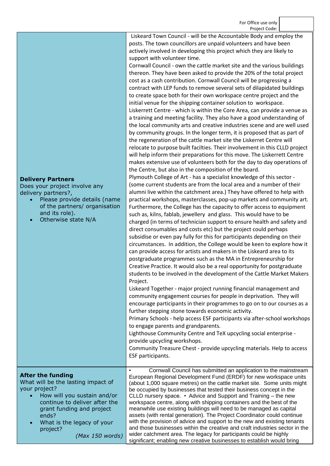Liskeard Town Council - will be the Accountable Body and employ the posts. The town councillors are unpaid volunteers and have been actively involved in developing this project which they are likely to support with volunteer time.

Cornwall Council - own the cattle market site and the various buildings thereon. They have been asked to provide the 20% of the total project cost as a cash contribution. Cornwall Council will be progressing a contract with LEP funds to remove several sets of dilapidated buildings to create space both for their own workspace centre project and the initial venue for the shipping container solution to workspace. Liskerrett Centre - which is within the Core Area, can provide a venue as a training and meeting facility. They also have a good understanding of the local community arts and creative industries scene and are well used by community groups. In the longer term, it is proposed that as part of the regeneration of the cattle market site the Liskerret Centre will relocate to purpose built facilties. Their involvement in this CLLD project will help inform their preparations for this move. The Liskerrett Centre makes extensive use of volunteers both for the day to day operations of the Centre, but also in the composition of the board.

Plymouth College of Art - has a specialist knowledge of this sector - (some current students are from the local area and a number of their alumni live within the catchment area.) They have offered to help with practical workshops, masterclasses, pop-up markets and community art. Furthermore, the College has the capacity to offer access to equipment such as, kilns, fablab, jewellery and glass. This would have to be charged (in terms of technician support to ensure health and safety and direct consumables and costs etc) but the project could perhaps subsidise or even pay fully for this for participants depending on their circumstances. In addition, the College would be keen to explore how it can provide access for artists and makers in the Liskeard area to its postgraduate programmes such as the MA in Entrepreneurship for Creative Practice. It would also be a real opportunity for postgraduate students to be involved in the development of the Cattle Market Makers Project.

Liskeard Together - major project running financial management and community engagement courses for people in deprivation. They will encourage participants in their programmes to go on to our courses as a further stepping stone towards economic activity.

Primary Schools - help access ESF participants via after-school workshops to engage parents and grandparents.

Lighthouse Community Centre and TeX upcycling social enterprise provide upcycling workshops.

Community Treasure Chest - provide upcycling materials. Help to access ESF participants.

#### **After the funding**

What will be the lasting impact of your project?

- How will you sustain and/or continue to deliver after the grant funding and project ends?
- What is the legacy of your project?

*(Max 150 words)*

• Cornwall Council has submitted an application to the mainstream European Regional Development Fund (ERDF) for new workspace units (about 1,000 square metres) on the cattle market site. Some units might be occupied by businesses that tested their business concept in the CLLD nursery space. • Advice and Support and Training – the new workspace centre, along with shipping containers and the best of the meanwhile use existing buildings will need to be managed as capital assets (with rental generation). The Project Coordinator could continue with the provision of advice and support to the new and existing tenants and those businesses within the creative and craft industries sector in the wider catchment area. The legacy for participants could be highly significant; enabling new creative businesses to establish would bring

#### **Delivery Partners**

Does your project involve any delivery partners?,

- Please provide details (name of the partners/ organisation and its role).
- Otherwise state N/A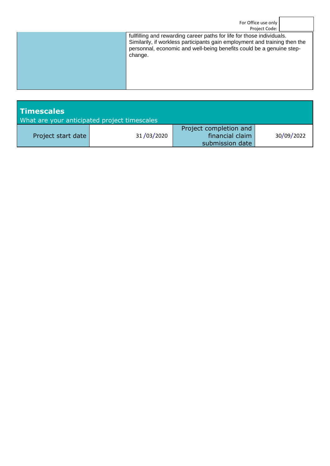| For Office use only<br>Project Code: |                                                                                                                                                                                                                                         |  |  |  |
|--------------------------------------|-----------------------------------------------------------------------------------------------------------------------------------------------------------------------------------------------------------------------------------------|--|--|--|
|                                      | fullfilling and rewarding career paths for life for those individuals.<br>Similarily, if workless participants gain employment and training then the<br>personnal, economic and well-being benefits could be a genuine step-<br>change. |  |  |  |

| <b>Timescales</b><br>What are your anticipated project timescales |            |                                                              |            |
|-------------------------------------------------------------------|------------|--------------------------------------------------------------|------------|
| Project start date                                                | 31/03/2020 | Project completion and<br>financial claim<br>submission date | 30/09/2022 |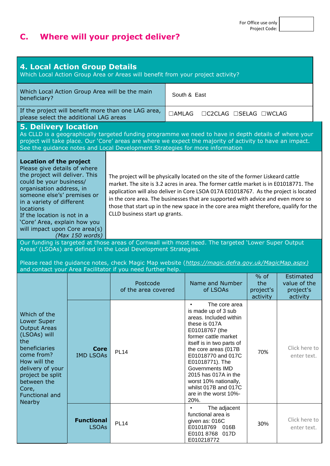# **C. Where will your project deliver?**

| <b>4. Local Action Group Details</b><br>Which Local Action Group Area or Areas will benefit from your project activity?                                                                                                                                                                                                                                                                                                                                                                                                                                                                                                                                                                                                                                                                                                     |                                   |                                                                 |              |                                                                                                                                                                                                                                                                                                                                                      |                                        |                                                    |
|-----------------------------------------------------------------------------------------------------------------------------------------------------------------------------------------------------------------------------------------------------------------------------------------------------------------------------------------------------------------------------------------------------------------------------------------------------------------------------------------------------------------------------------------------------------------------------------------------------------------------------------------------------------------------------------------------------------------------------------------------------------------------------------------------------------------------------|-----------------------------------|-----------------------------------------------------------------|--------------|------------------------------------------------------------------------------------------------------------------------------------------------------------------------------------------------------------------------------------------------------------------------------------------------------------------------------------------------------|----------------------------------------|----------------------------------------------------|
| Which Local Action Group Area will be the main<br>South & East<br>beneficiary?                                                                                                                                                                                                                                                                                                                                                                                                                                                                                                                                                                                                                                                                                                                                              |                                   |                                                                 |              |                                                                                                                                                                                                                                                                                                                                                      |                                        |                                                    |
| please select the additional LAG areas                                                                                                                                                                                                                                                                                                                                                                                                                                                                                                                                                                                                                                                                                                                                                                                      |                                   | If the project will benefit more than one LAG area,             | $\Box$ AMLAG | □C2CLAG □SELAG □WCLAG                                                                                                                                                                                                                                                                                                                                |                                        |                                                    |
| <b>5. Delivery location</b>                                                                                                                                                                                                                                                                                                                                                                                                                                                                                                                                                                                                                                                                                                                                                                                                 |                                   |                                                                 |              | As CLLD is a geographically targeted funding programme we need to have in depth details of where your<br>project will take place. Our 'Core' areas are where we expect the majority of activity to have an impact.<br>See the guidance notes and Local Development Strategies for more information                                                   |                                        |                                                    |
| <b>Location of the project</b><br>Please give details of where<br>the project will deliver. This<br>The project will be physically located on the site of the former Liskeard cattle<br>could be your business/<br>market. The site is 3.2 acres in area. The former cattle market is in E01018771. The<br>organisation address, in<br>application will also deliver in Core LSOA 017A E01018767. As the project is located<br>someone else's' premises or<br>in the core area. The businesses that are supported with advice and even more so<br>in a variety of different<br>those that start up in the new space in the core area might therefore, qualify for the<br><b>locations</b><br>CLLD business start up grants.<br>If the location is not in a<br>'Core' Area, explain how you<br>will impact upon Core area(s) |                                   |                                                                 |              |                                                                                                                                                                                                                                                                                                                                                      |                                        |                                                    |
|                                                                                                                                                                                                                                                                                                                                                                                                                                                                                                                                                                                                                                                                                                                                                                                                                             | (Max 150 words)                   | Areas' (LSOAs) are defined in the Local Development Strategies. |              | Our funding is targeted at those areas of Cornwall with most need. The targeted 'Lower Super Output                                                                                                                                                                                                                                                  |                                        |                                                    |
|                                                                                                                                                                                                                                                                                                                                                                                                                                                                                                                                                                                                                                                                                                                                                                                                                             |                                   | and contact your Area Facilitator if you need further help.     |              | Please read the guidance notes, check Magic Map website (https://magic.defra.gov.uk/MagicMap.aspx)                                                                                                                                                                                                                                                   |                                        |                                                    |
|                                                                                                                                                                                                                                                                                                                                                                                                                                                                                                                                                                                                                                                                                                                                                                                                                             |                                   | Postcode<br>of the area covered                                 |              | Name and Number<br>of LSOAs                                                                                                                                                                                                                                                                                                                          | $%$ of<br>the<br>project's<br>activity | Estimated<br>value of the<br>project's<br>activity |
| Which of the<br>Lower Super<br><b>Output Areas</b><br>(LSOAs) will<br>the<br>beneficiaries<br><b>Core</b><br>come from?<br><b>IMD LSOAs</b><br>How will the<br>delivery of your<br>project be split<br>between the<br>Core,<br><b>Functional and</b>                                                                                                                                                                                                                                                                                                                                                                                                                                                                                                                                                                        |                                   | <b>PL14</b>                                                     |              | The core area<br>is made up of 3 sub<br>areas. Included within<br>these is 017A<br>E01018767 (the<br>former cattle market<br>itself is in two parts of<br>the core areas (017B<br>E01018770 and 017C<br>E01018771). The<br>Governments IMD<br>2015 has 017A in the<br>worst 10% nationally,<br>whilst 017B and 017C<br>are in the worst 10%-<br>20%. | 70%                                    | Click here to<br>enter text.                       |
| <b>Nearby</b>                                                                                                                                                                                                                                                                                                                                                                                                                                                                                                                                                                                                                                                                                                                                                                                                               | <b>Functional</b><br><b>LSOAs</b> | <b>PL14</b>                                                     |              | The adjacent<br>functional area is<br>given as: 016C<br>E01018769<br>016B<br>E0101 8768 017D<br>E010218772                                                                                                                                                                                                                                           | 30%                                    | Click here to<br>enter text.                       |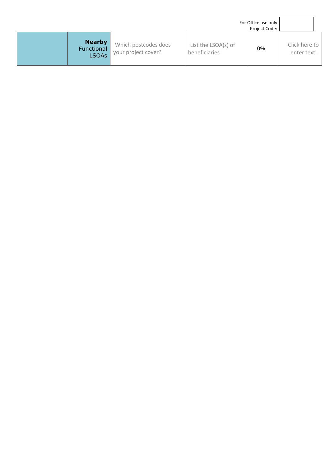|                                             |                                             |                                      | For Office use only<br>Project Code: |                              |
|---------------------------------------------|---------------------------------------------|--------------------------------------|--------------------------------------|------------------------------|
| <b>Nearby</b><br>Functional<br><b>LSOAs</b> | Which postcodes does<br>your project cover? | List the LSOA(s) of<br>beneficiaries | 0%                                   | Click here to<br>enter text. |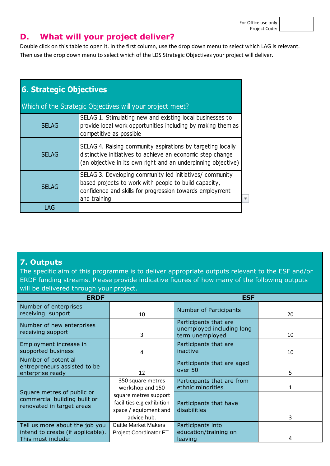For Office use only Project Code:

#### **D. What will your project deliver?**

Double click on this table to open it. In the first column, use the drop down menu to select which LAG is relevant. Then use the drop down menu to select which of the LDS Strategic Objectives your project will deliver.

| <b>6. Strategic Objectives</b>                                                                                                                                       |                                                                                                                                                                                               |  |  |  |  |
|----------------------------------------------------------------------------------------------------------------------------------------------------------------------|-----------------------------------------------------------------------------------------------------------------------------------------------------------------------------------------------|--|--|--|--|
|                                                                                                                                                                      | Which of the Strategic Objectives will your project meet?                                                                                                                                     |  |  |  |  |
| SELAG 1. Stimulating new and existing local businesses to<br>provide local work opportunities including by making them as<br><b>SELAG</b><br>competitive as possible |                                                                                                                                                                                               |  |  |  |  |
| <b>SELAG</b>                                                                                                                                                         | SELAG 4. Raising community aspirations by targeting locally<br>distinctive initiatives to achieve an economic step change<br>(an objective in its own right and an underpinning objective)    |  |  |  |  |
| <b>SELAG</b>                                                                                                                                                         | SELAG 3. Developing community led initiatives/ community<br>based projects to work with people to build capacity,<br>confidence and skills for progression towards employment<br>and training |  |  |  |  |
| LAG                                                                                                                                                                  |                                                                                                                                                                                               |  |  |  |  |

#### **7. Outputs**

The specific aim of this programme is to deliver appropriate outputs relevant to the ESF and/or ERDF funding streams. Please provide indicative figures of how many of the following outputs will be delivered through your project.

| <b>ERDF</b>                                                                               |                                                                                            | <b>ESF</b>                                                            |    |  |
|-------------------------------------------------------------------------------------------|--------------------------------------------------------------------------------------------|-----------------------------------------------------------------------|----|--|
| Number of enterprises<br>receiving support                                                | 10                                                                                         | Number of Participants                                                | 20 |  |
| Number of new enterprises<br>receiving support                                            | 3                                                                                          | Participants that are<br>unemployed including long<br>term unemployed | 10 |  |
| Employment increase in<br>supported business                                              | 4                                                                                          | Participants that are<br>inactive                                     | 10 |  |
| Number of potential<br>entrepreneurs assisted to be<br>enterprise ready                   | 12                                                                                         | Participants that are aged<br>over 50                                 | 5  |  |
|                                                                                           | 350 square metres<br>workshop and 150                                                      | Participants that are from<br>ethnic minorities                       |    |  |
| Square metres of public or<br>commercial building built or<br>renovated in target areas   | square metres support<br>facilities e.g exhibition<br>space / equipment and<br>advice hub. | Participants that have<br>disabilities                                | 3  |  |
| Tell us more about the job you<br>intend to create (if applicable).<br>This must include: | <b>Cattle Market Makers</b><br><b>Project Coordinator FT</b>                               | Participants into<br>education/training on<br>leaving                 | 4  |  |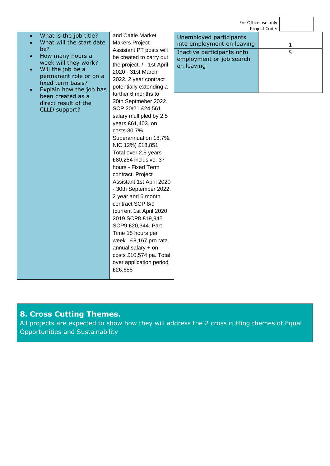|                                                                                                                                                                                                                                                                                                                                     |                                                                                                                                                                                                                                                                                                                                                                                                                                                                                                                                                                                                                                                           |                                                                                                                               | For Office use only<br>Project Code: |  |
|-------------------------------------------------------------------------------------------------------------------------------------------------------------------------------------------------------------------------------------------------------------------------------------------------------------------------------------|-----------------------------------------------------------------------------------------------------------------------------------------------------------------------------------------------------------------------------------------------------------------------------------------------------------------------------------------------------------------------------------------------------------------------------------------------------------------------------------------------------------------------------------------------------------------------------------------------------------------------------------------------------------|-------------------------------------------------------------------------------------------------------------------------------|--------------------------------------|--|
| What is the job title?<br>$\bullet$<br>What will the start date<br>$\bullet$<br>be?<br>How many hours a<br>$\bullet$<br>week will they work?<br>Will the job be a<br>$\bullet$<br>permanent role or on a<br>fixed term basis?<br>Explain how the job has<br>$\bullet$<br>been created as a<br>direct result of the<br>CLLD support? | and Cattle Market<br><b>Makers Project</b><br>Assistant PT posts will<br>be created to carry out<br>the project. / - 1st April<br>2020 - 31st March<br>2022. 2 year contract<br>potentially extending a<br>further 6 months to<br>30th Septmeber 2022.<br>SCP 20/21 £24,561<br>salary multipled by 2.5<br>years £61,403. on<br>costs 30.7%<br>Superannuation 18.7%,<br>NIC 12%) £18,851<br>Total over 2.5 years<br>£80,254 inclusive. 37<br>hours - Fixed Term<br>contract. Project<br>Assistant 1st April 2020<br>- 30th September 2022.<br>2 year and 6 month<br>contract SCP 8/9<br>(current 1st April 2020<br>2019 SCP8 £19,945<br>SCP9 £20,344. Part | Unemployed participants<br>into employment on leaving<br>Inactive participants onto<br>employment or job search<br>on leaving | 1<br>5                               |  |
|                                                                                                                                                                                                                                                                                                                                     | Time 15 hours per<br>week. £8,167 pro rata<br>annual salary $+$ on<br>costs £10,574 pa. Total<br>over application period<br>£26,685                                                                                                                                                                                                                                                                                                                                                                                                                                                                                                                       |                                                                                                                               |                                      |  |

## **8. Cross Cutting Themes.**

All projects are expected to show how they will address the 2 cross cutting themes of Equal Opportunities and Sustainability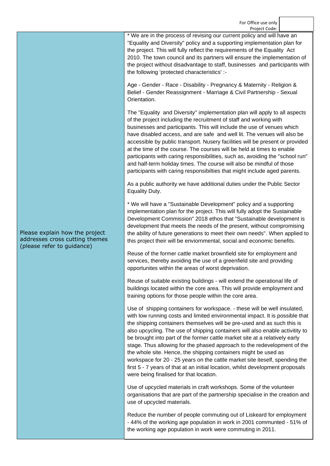For Office use only Project Code:

\* We are in the process of revising our current policy and will have an "Equality and Diversity" policy and a supporting implementation plan for the project. This will fully reflect the requirements of the Equality Act 2010. The town council and its partners will ensure the implementation of the project without disadvantage to staff, businesses and participants with the following 'protected characteristics' :-

Age - Gender - Race - Disability - Pregnancy & Maternity - Religion & Belief - Gender Reassignment - Marriage & Civil Partnership - Sexual Orientation.

The "Equality and Diversity" implementation plan will apply to all aspects of the project including the recruitment of staff and working with businesses and participants. This will include the use of venues which have disabled access, and are safe and well lit. The venues will also be accessible by public transport. Nusery facilities will be present or provided at the time of the course. The courses will be held at times to enable participants with caring responsibilities, such as, avoiding the "school run" and half-term holiday times. The course will also be mindful of those participants with caring responsibilties that might include aged parents.

As a public authority we have additional duties under the Public Sector Equality Duty.

\* We will have a "Sustainable Development" policy and a supporting implementation plan for the project. This will fully adopt the Sustainable Development Commission" 2018 ethos that "Sustainable development is development that meets the needs of the present, without compromising the ability of future generations to meet their own needs". When applied to this project their will be enviornmental, social and economic benefits.

Reuse of the former cattle market brownfield site for employment and services, thereby avoiding the use of a greenfield site and providing opportunites within the areas of worst deprivation.

Reuse of suitable existing buildings - will extend the operational life of buildings located within the core area. This will provide employment and training options for those people within the core area.

Use of shipping containers for workspace. - these will be well insulated, with low running costs and limited environmental impact. It is possible that the shipping containers themselves will be pre-used and as such this is also upcycling. The use of shipping containers will also enable activitity to be brought into part of the former cattle market site at a relatively early stage. Thus allowing for the phased approach to the redevelopment of the the whole site. Hence, the shipping containers might be used as workspace for 20 - 25 years on the cattle market site iteself, spending the first 5 - 7 years of that at an initial location, whilst development proposals were being finalised for that location.

Use of upcycled materials in craft workshops. Some of the volunteer organisations that are part of the partnership specialise in the creation and use of upcycled materials.

Reduce the number of people commuting out of Liskeard for employment - 44% of the working age population in work in 2001 communted - 51% of the working age population in work were commuting in 2011.

Please explain how the project addresses cross cutting themes (please refer to guidance)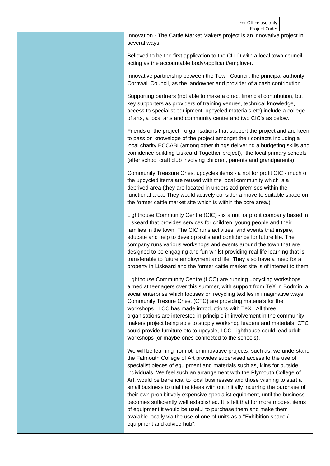For Office use only Project Code:

Innovation - The Cattle Market Makers project is an innovative project in several ways:

Believed to be the first application to the CLLD with a local town council acting as the accountable body/applicant/employer.

Innovative partnership between the Town Council, the principal authority Cornwall Council, as the landowner and provider of a cash contribution.

Supporting partners (not able to make a direct financial contribution, but key supporters as providers of training venues, technical knowledge, access to specialist equipment, upcycled materials etc) include a college of arts, a local arts and community centre and two CIC's as below.

Friends of the project - organisations that support the project and are keen to pass on knoweldge of the project amongst their contacts including a local charity ECCABI (among other things delivering a budgeting skills and confidence building Liskeard Together project), the local primary schools (after school craft club involving children, parents and grandparents).

Community Treasure Chest upcycles items - a not for profit CIC - much of the upcycled items are reused with the local community which is a deprived area (they are located in undersized premises within the functional area. They would actively consider a move to suitable space on the former cattle market site which is within the core area.)

Lighthouse Community Centre (CIC) - is a not for profit company based in Liskeard that provides services for children, young people and their families in the town. The CIC runs activities and events that inspire, educate and help to develop skills and confidence for future life. The company runs various workshops and events around the town that are designed to be engaging and fun whilst providing real life learning that is transferable to future employment and life. They also have a need for a property in Liskeard and the former cattle market site is of interest to them.

Lighthouse Community Centre (LCC) are running upcycling workshops aimed at teenagers over this summer, with support from TeX in Bodmin, a social enterprise which focuses on recycling textiles in imaginative ways. Community Tresure Chest (CTC) are providing materials for the workshops. LCC has made introductions with TeX. All three organisations are interested in principle in involvement in the community makers project being able to supply workshop leaders and materials. CTC could provide furniture etc to upcycle, LCC Lighthouse could lead adult workshops (or maybe ones connected to the schools).

We will be learning from other innovative projects, such as, we understand the Falmouth College of Art provides supervised access to the use of specialist pieces of equipment and materials such as, kilns for outside individuals. We feel such an arrangement with the Plymouth College of Art, would be beneficial to local businesses and those wishing to start a small business to trial the ideas with out initially incurring the purchase of their own prohibitively expensive specialist equipment, until the business becomes sufficiently well established. It is felt that for more modest items of equipment it would be useful to purchase them and make them avaiable locally via the use of one of units as a "Exhibition space / equipment and advice hub".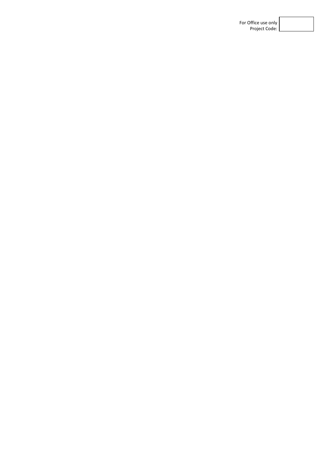| For Office use only |
|---------------------|
| Project Code:       |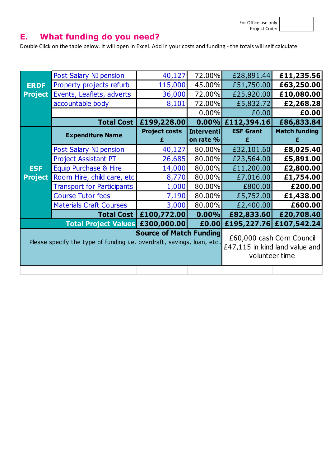## **E. What funding do you need?**

Double Click on the table below. It will open in Excel. Add in your costs and funding - the totals will self calculate.

|                | Post Salary NI pension                                                 | 40,127                         | 72.00%                                                      | £28,891.44       | £11,235.56              |
|----------------|------------------------------------------------------------------------|--------------------------------|-------------------------------------------------------------|------------------|-------------------------|
| <b>ERDF</b>    | Property projects refurb                                               | 115,000                        | 45.00%                                                      | £51,750.00       | £63,250.00              |
| <b>Project</b> | Events, Leaflets, adverts                                              | 36,000                         | 72.00%                                                      | £25,920.00       | £10,080.00              |
|                | accountable body                                                       | 8,101                          | 72.00%                                                      | £5,832.72        | £2,268.28               |
|                |                                                                        |                                | 0.00%                                                       | £0.00            | £0.00                   |
|                | <b>Total Cost  </b>                                                    | £199,228.00                    | 0.00%                                                       | £112,394.16      | £86,833.84              |
|                | <b>Expenditure Name</b>                                                | <b>Project costs</b>           | <b>Interventi</b>                                           | <b>ESF Grant</b> | <b>Match funding</b>    |
|                |                                                                        | £                              | on rate %                                                   |                  |                         |
|                | Post Salary NI pension                                                 | 40,127                         | 80.00%                                                      | £32,101.60       | £8,025.40               |
|                | <b>Project Assistant PT</b>                                            | 26,685                         | 80.00%                                                      | £23,564.00       | £5,891.00               |
| <b>ESF</b>     | Equip Purchase & Hire                                                  | 14,000                         | 80.00%                                                      | £11,200.00       | £2,800.00               |
| <b>Project</b> | Room Hire, child care, etc                                             | 8,770                          | 80.00%                                                      | £7,016.00        | £1,754.00               |
|                | <b>Transport for Participants</b>                                      | 1,000                          | 80.00%                                                      | £800.00          | £200.00                 |
|                | <b>Course Tutor fees</b>                                               | 7,190                          | 80.00%                                                      | £5,752.00        | £1,438.00               |
|                | <b>Materials Craft Courses</b>                                         | 3,000                          | 80.00%                                                      | £2,400.00        | £600.00                 |
|                | <b>Total Cost  </b>                                                    | £100,772.00                    | 0.00%                                                       | £82,833.60       | £20,708.40              |
|                | Total Project Values £300,000.00                                       |                                | £0.00                                                       |                  | £195,227.76 £107,542.24 |
|                |                                                                        | <b>Source of Match Funding</b> |                                                             |                  |                         |
|                | Please specify the type of funding i.e. overdraft, savings, loan, etc. |                                | £60,000 cash Corn Council<br>£47,115 in kind land value and |                  |                         |
|                |                                                                        |                                | volunteer time                                              |                  |                         |
|                |                                                                        |                                |                                                             |                  |                         |
|                |                                                                        |                                |                                                             |                  |                         |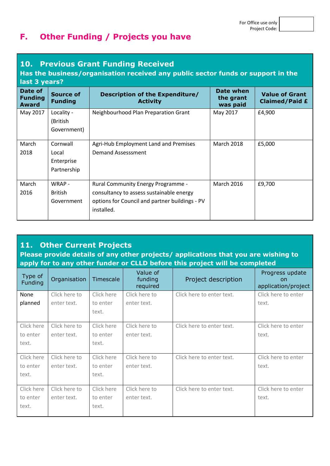### **F. Other Funding / Projects you have**

#### **10. Previous Grant Funding Received**

#### **Has the business/organisation received any public sector funds or support in the last 3 years?**

| Date of<br><b>Funding</b><br><b>Award</b> | <b>Source of</b><br><b>Funding</b> | <b>Description of the Expenditure/</b><br><b>Activity</b> | Date when<br>the grant<br>was paid | <b>Value of Grant</b><br><b>Claimed/Paid £</b> |
|-------------------------------------------|------------------------------------|-----------------------------------------------------------|------------------------------------|------------------------------------------------|
| May 2017                                  | Locality -                         | Neighbourhood Plan Preparation Grant                      | May 2017                           | £4,900                                         |
|                                           | (British                           |                                                           |                                    |                                                |
|                                           | Government)                        |                                                           |                                    |                                                |
| March                                     | Cornwall                           | Agri-Hub Employment Land and Premises                     | <b>March 2018</b>                  | £5,000                                         |
| 2018                                      | Local                              | Demand Assesssment                                        |                                    |                                                |
|                                           | Enterprise                         |                                                           |                                    |                                                |
|                                           | Partnership                        |                                                           |                                    |                                                |
|                                           |                                    |                                                           |                                    |                                                |
| March                                     | WRAP-                              | <b>Rural Community Energy Programme -</b>                 | <b>March 2016</b>                  | £9,700                                         |
| 2016                                      | <b>British</b>                     | consultancy to assess sustainable energy                  |                                    |                                                |
|                                           | Government                         | options for Council and partner buildings - PV            |                                    |                                                |
|                                           |                                    | installed.                                                |                                    |                                                |
|                                           |                                    |                                                           |                                    |                                                |

#### **11. Other Current Projects**

**Please provide details of any other projects/ applications that you are wishing to apply for to any other funder or CLLD before this project will be completed**

| Type of<br>Funding | Organisation  | Timescale  | Value of<br>funding<br>required | Project description       | Progress update<br>on<br>application/project |
|--------------------|---------------|------------|---------------------------------|---------------------------|----------------------------------------------|
| None               | Click here to | Click here | Click here to                   | Click here to enter text. | Click here to enter                          |
| planned            | enter text.   | to enter   | enter text.                     |                           | text.                                        |
|                    |               | text.      |                                 |                           |                                              |
|                    |               |            |                                 |                           |                                              |
| Click here         | Click here to | Click here | Click here to                   | Click here to enter text. | Click here to enter                          |
| to enter           | enter text.   | to enter   | enter text.                     |                           | text.                                        |
| text.              |               | text.      |                                 |                           |                                              |
|                    |               |            |                                 |                           |                                              |
| Click here         | Click here to | Click here | Click here to                   | Click here to enter text. | Click here to enter                          |
| to enter           | enter text.   | to enter   | enter text.                     |                           | text.                                        |
| text.              |               | text.      |                                 |                           |                                              |
|                    |               |            |                                 |                           |                                              |
| Click here         | Click here to | Click here | Click here to                   | Click here to enter text. | Click here to enter                          |
| to enter           | enter text.   | to enter   | enter text.                     |                           | text.                                        |
| text.              |               | text.      |                                 |                           |                                              |
|                    |               |            |                                 |                           |                                              |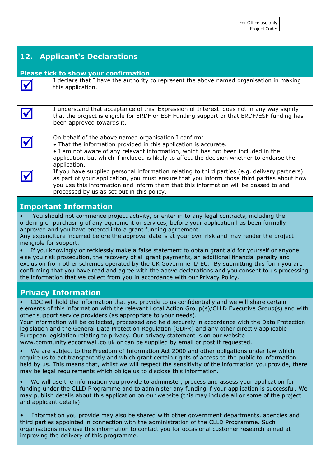| <b>Applicant's Declarations</b><br>12.                                                                                                                                                                                                                                                                                                                                                                                                                                                                                                                                                                                                                          |                                                                                                                                                                                                                                                                                                                                  |  |  |  |
|-----------------------------------------------------------------------------------------------------------------------------------------------------------------------------------------------------------------------------------------------------------------------------------------------------------------------------------------------------------------------------------------------------------------------------------------------------------------------------------------------------------------------------------------------------------------------------------------------------------------------------------------------------------------|----------------------------------------------------------------------------------------------------------------------------------------------------------------------------------------------------------------------------------------------------------------------------------------------------------------------------------|--|--|--|
| <b>Please tick to show your confirmation</b>                                                                                                                                                                                                                                                                                                                                                                                                                                                                                                                                                                                                                    |                                                                                                                                                                                                                                                                                                                                  |  |  |  |
|                                                                                                                                                                                                                                                                                                                                                                                                                                                                                                                                                                                                                                                                 | I declare that I have the authority to represent the above named organisation in making<br>this application.                                                                                                                                                                                                                     |  |  |  |
|                                                                                                                                                                                                                                                                                                                                                                                                                                                                                                                                                                                                                                                                 | I understand that acceptance of this 'Expression of Interest' does not in any way signify<br>that the project is eligible for ERDF or ESF Funding support or that ERDF/ESF funding has<br>been approved towards it.                                                                                                              |  |  |  |
|                                                                                                                                                                                                                                                                                                                                                                                                                                                                                                                                                                                                                                                                 | On behalf of the above named organisation I confirm:<br>• That the information provided in this application is accurate.<br>. I am not aware of any relevant information, which has not been included in the<br>application, but which if included is likely to affect the decision whether to endorse the<br>application.       |  |  |  |
|                                                                                                                                                                                                                                                                                                                                                                                                                                                                                                                                                                                                                                                                 | If you have supplied personal information relating to third parties (e.g. delivery partners)<br>as part of your application, you must ensure that you inform those third parties about how<br>you use this information and inform them that this information will be passed to and<br>processed by us as set out in this policy. |  |  |  |
|                                                                                                                                                                                                                                                                                                                                                                                                                                                                                                                                                                                                                                                                 | <b>Important Information</b>                                                                                                                                                                                                                                                                                                     |  |  |  |
| You should not commence project activity, or enter in to any legal contracts, including the<br>ordering or purchasing of any equipment or services, before your application has been formally<br>approved and you have entered into a grant funding agreement.<br>Any expenditure incurred before the approval date is at your own risk and may render the project<br>ineligible for support.                                                                                                                                                                                                                                                                   |                                                                                                                                                                                                                                                                                                                                  |  |  |  |
| If you knowingly or recklessly make a false statement to obtain grant aid for yourself or anyone<br>else you risk prosecution, the recovery of all grant payments, an additional financial penalty and<br>exclusion from other schemes operated by the UK Government/ EU. By submitting this form you are<br>confirming that you have read and agree with the above declarations and you consent to us processing<br>the information that we collect from you in accordance with our Privacy Policy.                                                                                                                                                            |                                                                                                                                                                                                                                                                                                                                  |  |  |  |
|                                                                                                                                                                                                                                                                                                                                                                                                                                                                                                                                                                                                                                                                 | <b>Privacy Information</b>                                                                                                                                                                                                                                                                                                       |  |  |  |
| CDC will hold the information that you provide to us confidentially and we will share certain<br>elements of this information with the relevant Local Action Group(s)/CLLD Executive Group(s) and with<br>other support service providers (as appropriate to your needs).<br>Your information will be collected, processed and held securely in accordance with the Data Protection<br>legislation and the General Data Protection Regulation (GDPR) and any other directly applicable<br>European legislation relating to privacy. Our privacy statement is on our website<br>www.communityledcornwall.co.uk or can be supplied by email or post if requested. |                                                                                                                                                                                                                                                                                                                                  |  |  |  |
| We are subject to the Freedom of Information Act 2000 and other obligations under law which<br>require us to act transparently and which grant certain rights of access to the public to information<br>held by us. This means that, whilst we will respect the sensitivity of the information you provide, there<br>may be legal requirements which oblige us to disclose this information.                                                                                                                                                                                                                                                                    |                                                                                                                                                                                                                                                                                                                                  |  |  |  |
| We will use the information you provide to administer, process and assess your application for<br>funding under the CLLD Programme and to administer any funding if your application is successful. We<br>may publish details about this application on our website (this may include all or some of the project<br>and applicant details).                                                                                                                                                                                                                                                                                                                     |                                                                                                                                                                                                                                                                                                                                  |  |  |  |
| Information you provide may also be shared with other government departments, agencies and<br>$\bullet$<br>third parties appointed in connection with the administration of the CLLD Programme. Such<br>ico this information to contact you for occasional sustamer                                                                                                                                                                                                                                                                                                                                                                                             |                                                                                                                                                                                                                                                                                                                                  |  |  |  |

organisations may use this information to contact you for occasional customer research aimed at improving the delivery of this programme.